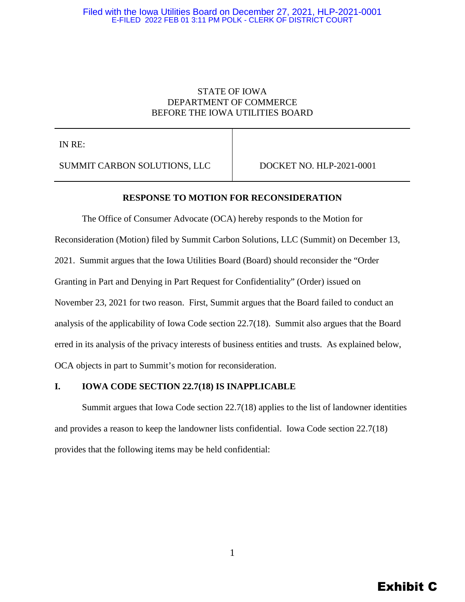# STATE OF IOWA DEPARTMENT OF COMMERCE BEFORE THE IOWA UTILITIES BOARD

IN RE:

SUMMIT CARBON SOLUTIONS, LLC DOCKET NO. HLP-2021-0001

## **RESPONSE TO MOTION FOR RECONSIDERATION**

The Office of Consumer Advocate (OCA) hereby responds to the Motion for Reconsideration (Motion) filed by Summit Carbon Solutions, LLC (Summit) on December 13, 2021. Summit argues that the Iowa Utilities Board (Board) should reconsider the "Order Granting in Part and Denying in Part Request for Confidentiality" (Order) issued on November 23, 2021 for two reason. First, Summit argues that the Board failed to conduct an analysis of the applicability of Iowa Code section 22.7(18). Summit also argues that the Board erred in its analysis of the privacy interests of business entities and trusts. As explained below, OCA objects in part to Summit's motion for reconsideration.

## **I. IOWA CODE SECTION 22.7(18) IS INAPPLICABLE**

Summit argues that Iowa Code section 22.7(18) applies to the list of landowner identities and provides a reason to keep the landowner lists confidential. Iowa Code section 22.7(18) provides that the following items may be held confidential: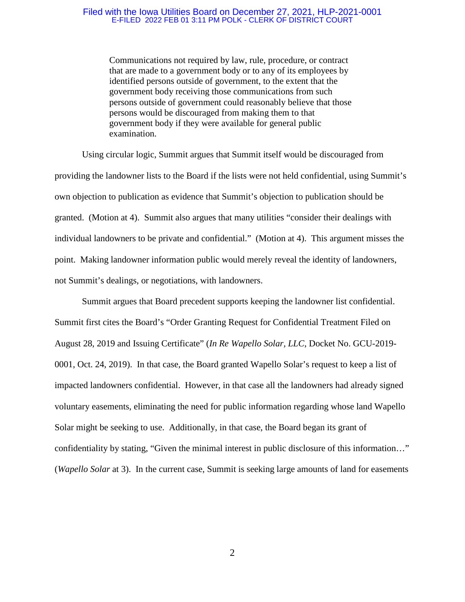Communications not required by law, rule, procedure, or contract that are made to a government body or to any of its employees by identified persons outside of government, to the extent that the government body receiving those communications from such persons outside of government could reasonably believe that those persons would be discouraged from making them to that government body if they were available for general public examination.

Using circular logic, Summit argues that Summit itself would be discouraged from providing the landowner lists to the Board if the lists were not held confidential, using Summit's own objection to publication as evidence that Summit's objection to publication should be granted. (Motion at 4). Summit also argues that many utilities "consider their dealings with individual landowners to be private and confidential." (Motion at 4). This argument misses the point. Making landowner information public would merely reveal the identity of landowners, not Summit's dealings, or negotiations, with landowners.

Summit argues that Board precedent supports keeping the landowner list confidential. Summit first cites the Board's "Order Granting Request for Confidential Treatment Filed on August 28, 2019 and Issuing Certificate" (*In Re Wapello Solar, LLC*, Docket No. GCU-2019- 0001, Oct. 24, 2019). In that case, the Board granted Wapello Solar's request to keep a list of impacted landowners confidential. However, in that case all the landowners had already signed voluntary easements, eliminating the need for public information regarding whose land Wapello Solar might be seeking to use. Additionally, in that case, the Board began its grant of confidentiality by stating, "Given the minimal interest in public disclosure of this information…" (*Wapello Solar* at 3). In the current case, Summit is seeking large amounts of land for easements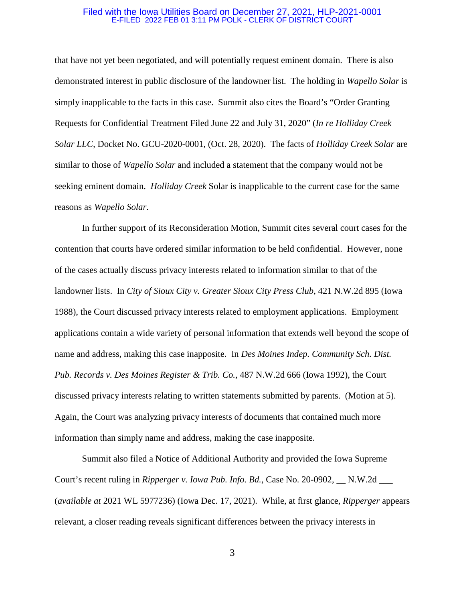that have not yet been negotiated, and will potentially request eminent domain. There is also demonstrated interest in public disclosure of the landowner list. The holding in *Wapello Solar* is simply inapplicable to the facts in this case. Summit also cites the Board's "Order Granting Requests for Confidential Treatment Filed June 22 and July 31, 2020" (*In re Holliday Creek Solar LLC,* Docket No. GCU-2020-0001, (Oct. 28, 2020). The facts of *Holliday Creek Solar* are similar to those of *Wapello Solar* and included a statement that the company would not be seeking eminent domain. *Holliday Creek* Solar is inapplicable to the current case for the same reasons as *Wapello Solar*.

In further support of its Reconsideration Motion, Summit cites several court cases for the contention that courts have ordered similar information to be held confidential. However, none of the cases actually discuss privacy interests related to information similar to that of the landowner lists. In *City of Sioux City v. Greater Sioux City Press Club*, 421 N.W.2d 895 (Iowa 1988), the Court discussed privacy interests related to employment applications. Employment applications contain a wide variety of personal information that extends well beyond the scope of name and address, making this case inapposite. In *Des Moines Indep. Community Sch. Dist. Pub. Records v. Des Moines Register & Trib. Co.,* 487 N.W.2d 666 (Iowa 1992), the Court discussed privacy interests relating to written statements submitted by parents. (Motion at 5). Again, the Court was analyzing privacy interests of documents that contained much more information than simply name and address, making the case inapposite.

Summit also filed a Notice of Additional Authority and provided the Iowa Supreme Court's recent ruling in *Ripperger v. Iowa Pub. Info. Bd.*, Case No. 20-0902, \_\_ N.W.2d \_\_\_ (*available at* 2021 WL 5977236) (Iowa Dec. 17, 2021). While, at first glance, *Ripperger* appears relevant, a closer reading reveals significant differences between the privacy interests in

3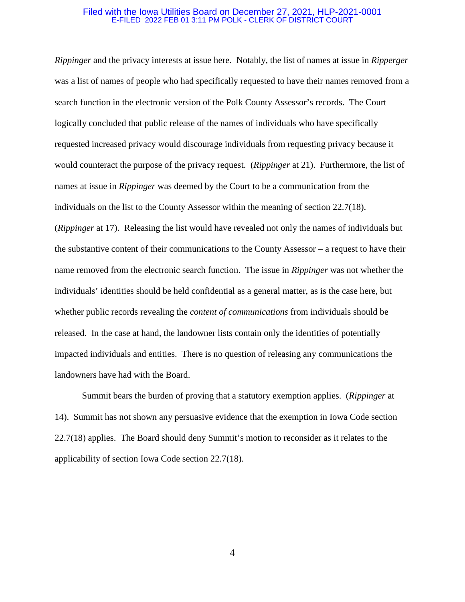*Rippinger* and the privacy interests at issue here. Notably, the list of names at issue in *Ripperger* was a list of names of people who had specifically requested to have their names removed from a search function in the electronic version of the Polk County Assessor's records. The Court logically concluded that public release of the names of individuals who have specifically requested increased privacy would discourage individuals from requesting privacy because it would counteract the purpose of the privacy request. (*Rippinger* at 21). Furthermore, the list of names at issue in *Rippinger* was deemed by the Court to be a communication from the individuals on the list to the County Assessor within the meaning of section 22.7(18). (*Rippinger* at 17). Releasing the list would have revealed not only the names of individuals but the substantive content of their communications to the County Assessor – a request to have their name removed from the electronic search function. The issue in *Rippinger* was not whether the individuals' identities should be held confidential as a general matter, as is the case here, but whether public records revealing the *content of communications* from individuals should be released. In the case at hand, the landowner lists contain only the identities of potentially impacted individuals and entities. There is no question of releasing any communications the landowners have had with the Board.

Summit bears the burden of proving that a statutory exemption applies. (*Rippinger* at 14). Summit has not shown any persuasive evidence that the exemption in Iowa Code section 22.7(18) applies. The Board should deny Summit's motion to reconsider as it relates to the applicability of section Iowa Code section 22.7(18).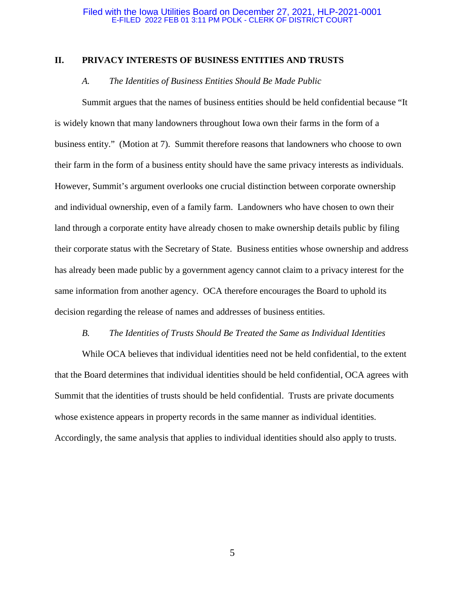## **II. PRIVACY INTERESTS OF BUSINESS ENTITIES AND TRUSTS**

## *A. The Identities of Business Entities Should Be Made Public*

Summit argues that the names of business entities should be held confidential because "It is widely known that many landowners throughout Iowa own their farms in the form of a business entity." (Motion at 7). Summit therefore reasons that landowners who choose to own their farm in the form of a business entity should have the same privacy interests as individuals. However, Summit's argument overlooks one crucial distinction between corporate ownership and individual ownership, even of a family farm. Landowners who have chosen to own their land through a corporate entity have already chosen to make ownership details public by filing their corporate status with the Secretary of State. Business entities whose ownership and address has already been made public by a government agency cannot claim to a privacy interest for the same information from another agency. OCA therefore encourages the Board to uphold its decision regarding the release of names and addresses of business entities.

### *B. The Identities of Trusts Should Be Treated the Same as Individual Identities*

While OCA believes that individual identities need not be held confidential, to the extent that the Board determines that individual identities should be held confidential, OCA agrees with Summit that the identities of trusts should be held confidential. Trusts are private documents whose existence appears in property records in the same manner as individual identities. Accordingly, the same analysis that applies to individual identities should also apply to trusts.

5